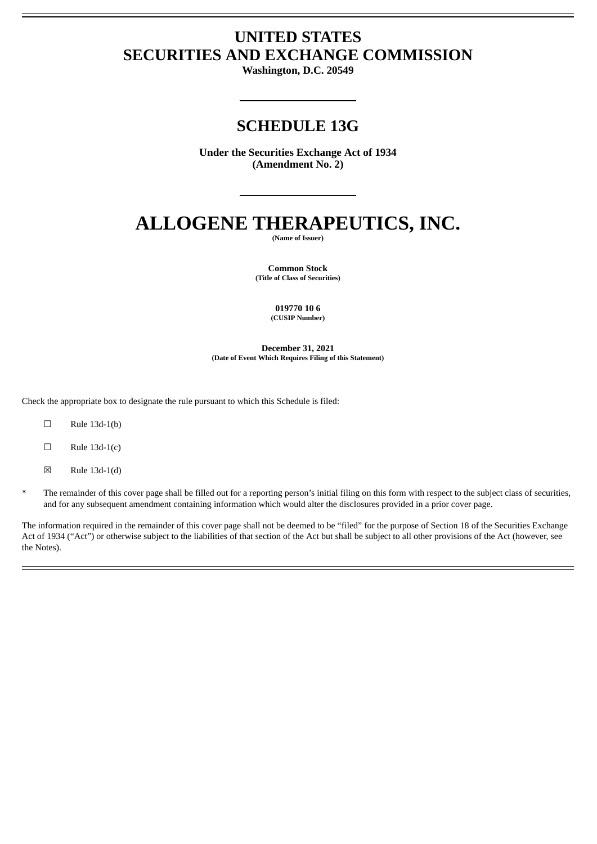## **UNITED STATES SECURITIES AND EXCHANGE COMMISSION**

**Washington, D.C. 20549**

## **SCHEDULE 13G**

**Under the Securities Exchange Act of 1934 (Amendment No. 2)**

# **ALLOGENE THERAPEUTICS, INC.**

**(Name of Issuer)**

**Common Stock (Title of Class of Securities)**

> **019770 10 6 (CUSIP Number)**

**December 31, 2021 (Date of Event Which Requires Filing of this Statement)**

Check the appropriate box to designate the rule pursuant to which this Schedule is filed:

- $\square$  Rule 13d-1(b)
- $\Box$  Rule 13d-1(c)
- $\boxtimes$  Rule 13d-1(d)
- The remainder of this cover page shall be filled out for a reporting person's initial filing on this form with respect to the subject class of securities, and for any subsequent amendment containing information which would alter the disclosures provided in a prior cover page.

The information required in the remainder of this cover page shall not be deemed to be "filed" for the purpose of Section 18 of the Securities Exchange Act of 1934 ("Act") or otherwise subject to the liabilities of that section of the Act but shall be subject to all other provisions of the Act (however, see the Notes).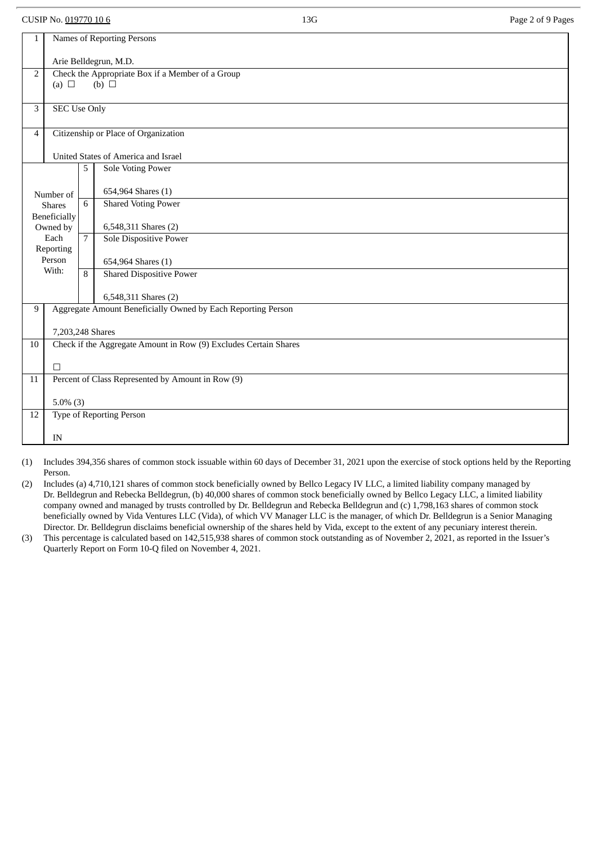CUSIP No. 019770 10 6 **13G** Page 2 of 9 Pages

| $\mathbf{1}$                                                        | Names of Reporting Persons                        |                |                                                                  |  |  |  |
|---------------------------------------------------------------------|---------------------------------------------------|----------------|------------------------------------------------------------------|--|--|--|
|                                                                     |                                                   |                |                                                                  |  |  |  |
|                                                                     | Arie Belldegrun, M.D.                             |                |                                                                  |  |  |  |
| Check the Appropriate Box if a Member of a Group<br>2<br>(b) $\Box$ |                                                   |                |                                                                  |  |  |  |
|                                                                     | (a) $\Box$                                        |                |                                                                  |  |  |  |
| 3                                                                   | <b>SEC Use Only</b>                               |                |                                                                  |  |  |  |
|                                                                     |                                                   |                |                                                                  |  |  |  |
| $\overline{4}$                                                      |                                                   |                | Citizenship or Place of Organization                             |  |  |  |
|                                                                     |                                                   |                |                                                                  |  |  |  |
|                                                                     |                                                   |                | United States of America and Israel                              |  |  |  |
|                                                                     |                                                   | 5              | <b>Sole Voting Power</b>                                         |  |  |  |
|                                                                     |                                                   |                |                                                                  |  |  |  |
|                                                                     | Number of                                         |                | 654,964 Shares (1)                                               |  |  |  |
|                                                                     | <b>Shares</b>                                     | 6              | <b>Shared Voting Power</b>                                       |  |  |  |
|                                                                     | Beneficially<br>Owned by                          |                | 6,548,311 Shares (2)                                             |  |  |  |
|                                                                     | Each                                              | $\overline{7}$ | <b>Sole Dispositive Power</b>                                    |  |  |  |
|                                                                     | Reporting                                         |                |                                                                  |  |  |  |
|                                                                     | Person                                            |                | 654,964 Shares (1)                                               |  |  |  |
|                                                                     | With:                                             | 8              | <b>Shared Dispositive Power</b>                                  |  |  |  |
|                                                                     |                                                   |                |                                                                  |  |  |  |
|                                                                     |                                                   |                | 6,548,311 Shares (2)                                             |  |  |  |
| 9                                                                   |                                                   |                | Aggregate Amount Beneficially Owned by Each Reporting Person     |  |  |  |
|                                                                     | 7,203,248 Shares                                  |                |                                                                  |  |  |  |
| 10                                                                  |                                                   |                | Check if the Aggregate Amount in Row (9) Excludes Certain Shares |  |  |  |
|                                                                     |                                                   |                |                                                                  |  |  |  |
|                                                                     | $\Box$                                            |                |                                                                  |  |  |  |
| 11                                                                  | Percent of Class Represented by Amount in Row (9) |                |                                                                  |  |  |  |
|                                                                     |                                                   |                |                                                                  |  |  |  |
|                                                                     | $5.0\%$ (3)                                       |                |                                                                  |  |  |  |
|                                                                     | Type of Reporting Person<br>12                    |                |                                                                  |  |  |  |
|                                                                     | IN                                                |                |                                                                  |  |  |  |
|                                                                     |                                                   |                |                                                                  |  |  |  |

(1) Includes 394,356 shares of common stock issuable within 60 days of December 31, 2021 upon the exercise of stock options held by the Reporting Person.

(2) Includes (a) 4,710,121 shares of common stock beneficially owned by Bellco Legacy IV LLC, a limited liability company managed by Dr. Belldegrun and Rebecka Belldegrun, (b) 40,000 shares of common stock beneficially owned by Bellco Legacy LLC, a limited liability company owned and managed by trusts controlled by Dr. Belldegrun and Rebecka Belldegrun and (c) 1,798,163 shares of common stock beneficially owned by Vida Ventures LLC (Vida), of which VV Manager LLC is the manager, of which Dr. Belldegrun is a Senior Managing Director. Dr. Belldegrun disclaims beneficial ownership of the shares held by Vida, except to the extent of any pecuniary interest therein.

(3) This percentage is calculated based on 142,515,938 shares of common stock outstanding as of November 2, 2021, as reported in the Issuer's Quarterly Report on Form 10-Q filed on November 4, 2021.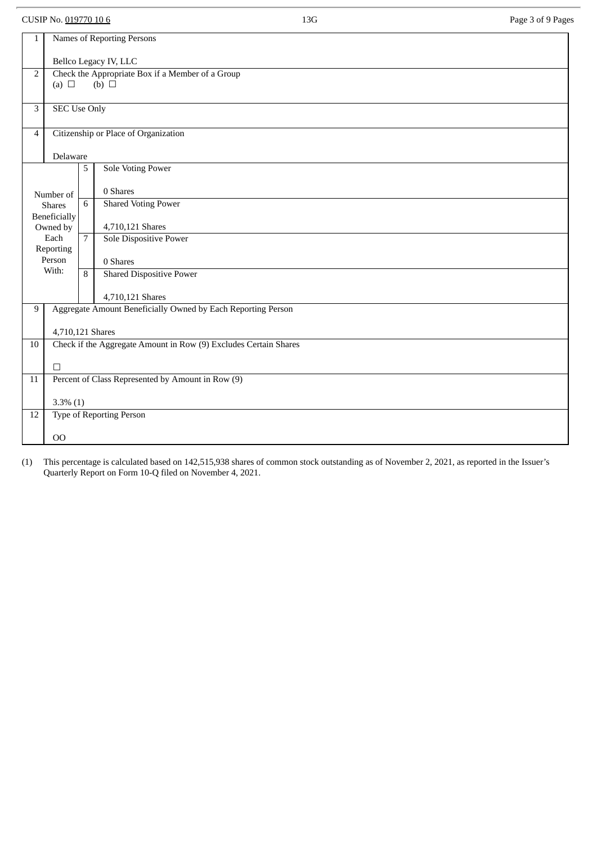CUSIP No. 019770 10 6 **13G** Page 3 of 9 Pages

| Names of Reporting Persons<br>1<br>Bellco Legacy IV, LLC<br>Check the Appropriate Box if a Member of a Group<br>$\overline{2}$<br>(a) $\Box$<br>$(b)$ $\square$<br><b>SEC Use Only</b><br>3<br>Citizenship or Place of Organization<br>$\overline{4}$<br>Delaware<br><b>Sole Voting Power</b><br>5<br>0 Shares<br>Number of<br><b>Shared Voting Power</b><br>6<br><b>Shares</b><br>Beneficially<br>4,710,121 Shares<br>Owned by<br>Each<br>$\overline{7}$<br>Sole Dispositive Power<br>Reporting<br>Person<br>0 Shares<br>With:<br><b>Shared Dispositive Power</b><br>8<br>4,710,121 Shares<br>Aggregate Amount Beneficially Owned by Each Reporting Person<br>9<br>4,710,121 Shares<br>Check if the Aggregate Amount in Row (9) Excludes Certain Shares<br>10<br>$\Box$<br>Percent of Class Represented by Amount in Row (9)<br>$\overline{11}$<br>$3.3\%$ (1)<br>Type of Reporting Person<br>12<br>00 |  |  |  |  |  |  |  |
|---------------------------------------------------------------------------------------------------------------------------------------------------------------------------------------------------------------------------------------------------------------------------------------------------------------------------------------------------------------------------------------------------------------------------------------------------------------------------------------------------------------------------------------------------------------------------------------------------------------------------------------------------------------------------------------------------------------------------------------------------------------------------------------------------------------------------------------------------------------------------------------------------------|--|--|--|--|--|--|--|
|                                                                                                                                                                                                                                                                                                                                                                                                                                                                                                                                                                                                                                                                                                                                                                                                                                                                                                         |  |  |  |  |  |  |  |
|                                                                                                                                                                                                                                                                                                                                                                                                                                                                                                                                                                                                                                                                                                                                                                                                                                                                                                         |  |  |  |  |  |  |  |
|                                                                                                                                                                                                                                                                                                                                                                                                                                                                                                                                                                                                                                                                                                                                                                                                                                                                                                         |  |  |  |  |  |  |  |
|                                                                                                                                                                                                                                                                                                                                                                                                                                                                                                                                                                                                                                                                                                                                                                                                                                                                                                         |  |  |  |  |  |  |  |
|                                                                                                                                                                                                                                                                                                                                                                                                                                                                                                                                                                                                                                                                                                                                                                                                                                                                                                         |  |  |  |  |  |  |  |
|                                                                                                                                                                                                                                                                                                                                                                                                                                                                                                                                                                                                                                                                                                                                                                                                                                                                                                         |  |  |  |  |  |  |  |
|                                                                                                                                                                                                                                                                                                                                                                                                                                                                                                                                                                                                                                                                                                                                                                                                                                                                                                         |  |  |  |  |  |  |  |
|                                                                                                                                                                                                                                                                                                                                                                                                                                                                                                                                                                                                                                                                                                                                                                                                                                                                                                         |  |  |  |  |  |  |  |
|                                                                                                                                                                                                                                                                                                                                                                                                                                                                                                                                                                                                                                                                                                                                                                                                                                                                                                         |  |  |  |  |  |  |  |
|                                                                                                                                                                                                                                                                                                                                                                                                                                                                                                                                                                                                                                                                                                                                                                                                                                                                                                         |  |  |  |  |  |  |  |
|                                                                                                                                                                                                                                                                                                                                                                                                                                                                                                                                                                                                                                                                                                                                                                                                                                                                                                         |  |  |  |  |  |  |  |
|                                                                                                                                                                                                                                                                                                                                                                                                                                                                                                                                                                                                                                                                                                                                                                                                                                                                                                         |  |  |  |  |  |  |  |
|                                                                                                                                                                                                                                                                                                                                                                                                                                                                                                                                                                                                                                                                                                                                                                                                                                                                                                         |  |  |  |  |  |  |  |
|                                                                                                                                                                                                                                                                                                                                                                                                                                                                                                                                                                                                                                                                                                                                                                                                                                                                                                         |  |  |  |  |  |  |  |
|                                                                                                                                                                                                                                                                                                                                                                                                                                                                                                                                                                                                                                                                                                                                                                                                                                                                                                         |  |  |  |  |  |  |  |
|                                                                                                                                                                                                                                                                                                                                                                                                                                                                                                                                                                                                                                                                                                                                                                                                                                                                                                         |  |  |  |  |  |  |  |
|                                                                                                                                                                                                                                                                                                                                                                                                                                                                                                                                                                                                                                                                                                                                                                                                                                                                                                         |  |  |  |  |  |  |  |
|                                                                                                                                                                                                                                                                                                                                                                                                                                                                                                                                                                                                                                                                                                                                                                                                                                                                                                         |  |  |  |  |  |  |  |
|                                                                                                                                                                                                                                                                                                                                                                                                                                                                                                                                                                                                                                                                                                                                                                                                                                                                                                         |  |  |  |  |  |  |  |
|                                                                                                                                                                                                                                                                                                                                                                                                                                                                                                                                                                                                                                                                                                                                                                                                                                                                                                         |  |  |  |  |  |  |  |
|                                                                                                                                                                                                                                                                                                                                                                                                                                                                                                                                                                                                                                                                                                                                                                                                                                                                                                         |  |  |  |  |  |  |  |
|                                                                                                                                                                                                                                                                                                                                                                                                                                                                                                                                                                                                                                                                                                                                                                                                                                                                                                         |  |  |  |  |  |  |  |
|                                                                                                                                                                                                                                                                                                                                                                                                                                                                                                                                                                                                                                                                                                                                                                                                                                                                                                         |  |  |  |  |  |  |  |
|                                                                                                                                                                                                                                                                                                                                                                                                                                                                                                                                                                                                                                                                                                                                                                                                                                                                                                         |  |  |  |  |  |  |  |
|                                                                                                                                                                                                                                                                                                                                                                                                                                                                                                                                                                                                                                                                                                                                                                                                                                                                                                         |  |  |  |  |  |  |  |
|                                                                                                                                                                                                                                                                                                                                                                                                                                                                                                                                                                                                                                                                                                                                                                                                                                                                                                         |  |  |  |  |  |  |  |
|                                                                                                                                                                                                                                                                                                                                                                                                                                                                                                                                                                                                                                                                                                                                                                                                                                                                                                         |  |  |  |  |  |  |  |
|                                                                                                                                                                                                                                                                                                                                                                                                                                                                                                                                                                                                                                                                                                                                                                                                                                                                                                         |  |  |  |  |  |  |  |
|                                                                                                                                                                                                                                                                                                                                                                                                                                                                                                                                                                                                                                                                                                                                                                                                                                                                                                         |  |  |  |  |  |  |  |
|                                                                                                                                                                                                                                                                                                                                                                                                                                                                                                                                                                                                                                                                                                                                                                                                                                                                                                         |  |  |  |  |  |  |  |
|                                                                                                                                                                                                                                                                                                                                                                                                                                                                                                                                                                                                                                                                                                                                                                                                                                                                                                         |  |  |  |  |  |  |  |
|                                                                                                                                                                                                                                                                                                                                                                                                                                                                                                                                                                                                                                                                                                                                                                                                                                                                                                         |  |  |  |  |  |  |  |
|                                                                                                                                                                                                                                                                                                                                                                                                                                                                                                                                                                                                                                                                                                                                                                                                                                                                                                         |  |  |  |  |  |  |  |
|                                                                                                                                                                                                                                                                                                                                                                                                                                                                                                                                                                                                                                                                                                                                                                                                                                                                                                         |  |  |  |  |  |  |  |

(1) This percentage is calculated based on 142,515,938 shares of common stock outstanding as of November 2, 2021, as reported in the Issuer's Quarterly Report on Form 10-Q filed on November 4, 2021.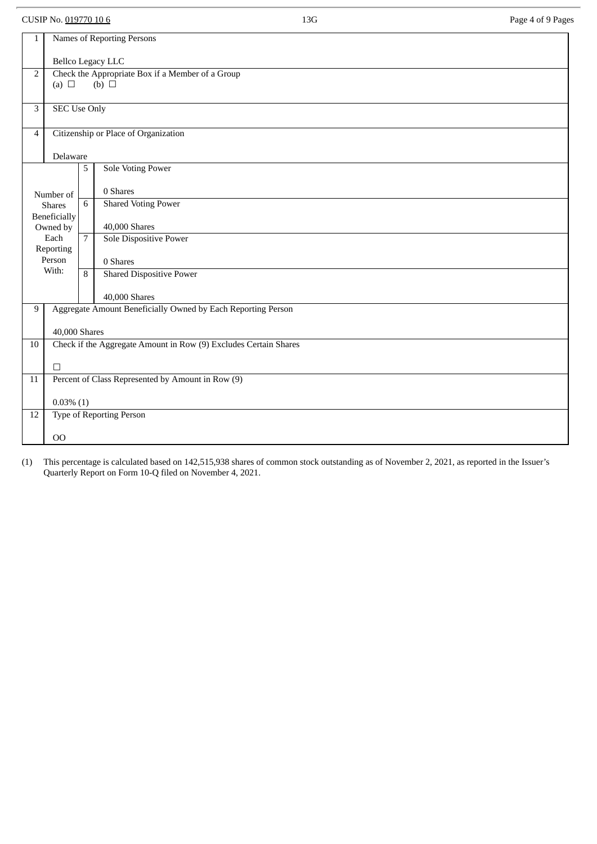| CUSIP No. 019770 10 6                                                                                               |                                                             |                                      |                                                                  | 13G | Page 4 of 9 Pages |  |
|---------------------------------------------------------------------------------------------------------------------|-------------------------------------------------------------|--------------------------------------|------------------------------------------------------------------|-----|-------------------|--|
| $\mathbf{1}$                                                                                                        | Names of Reporting Persons                                  |                                      |                                                                  |     |                   |  |
|                                                                                                                     |                                                             |                                      |                                                                  |     |                   |  |
| Bellco Legacy LLC<br>Check the Appropriate Box if a Member of a Group<br>$\overline{2}$<br>(b) $\Box$<br>(a) $\Box$ |                                                             |                                      |                                                                  |     |                   |  |
| 3                                                                                                                   | <b>SEC Use Only</b>                                         |                                      |                                                                  |     |                   |  |
|                                                                                                                     |                                                             |                                      |                                                                  |     |                   |  |
| $\overline{4}$                                                                                                      |                                                             | Citizenship or Place of Organization |                                                                  |     |                   |  |
|                                                                                                                     | Delaware                                                    | 5                                    | <b>Sole Voting Power</b>                                         |     |                   |  |
|                                                                                                                     |                                                             |                                      | 0 Shares                                                         |     |                   |  |
|                                                                                                                     | Number of<br><b>Shares</b>                                  | 6                                    | <b>Shared Voting Power</b>                                       |     |                   |  |
|                                                                                                                     | Beneficially<br>Owned by                                    |                                      | 40,000 Shares                                                    |     |                   |  |
|                                                                                                                     | Each<br>Reporting                                           | $\overline{7}$                       | Sole Dispositive Power                                           |     |                   |  |
|                                                                                                                     | Person<br>With:                                             |                                      | 0 Shares                                                         |     |                   |  |
|                                                                                                                     |                                                             | 8                                    | <b>Shared Dispositive Power</b>                                  |     |                   |  |
|                                                                                                                     |                                                             |                                      | 40,000 Shares                                                    |     |                   |  |
| 9                                                                                                                   |                                                             |                                      | Aggregate Amount Beneficially Owned by Each Reporting Person     |     |                   |  |
| 10                                                                                                                  | 40,000 Shares                                               |                                      | Check if the Aggregate Amount in Row (9) Excludes Certain Shares |     |                   |  |
|                                                                                                                     |                                                             |                                      |                                                                  |     |                   |  |
| 11                                                                                                                  | $\Box$<br>Percent of Class Represented by Amount in Row (9) |                                      |                                                                  |     |                   |  |
|                                                                                                                     | $0.03\%$ (1)                                                |                                      |                                                                  |     |                   |  |
| 12                                                                                                                  |                                                             |                                      | <b>Type of Reporting Person</b>                                  |     |                   |  |
|                                                                                                                     | 00                                                          |                                      |                                                                  |     |                   |  |

(1) This percentage is calculated based on 142,515,938 shares of common stock outstanding as of November 2, 2021, as reported in the Issuer's Quarterly Report on Form 10-Q filed on November 4, 2021.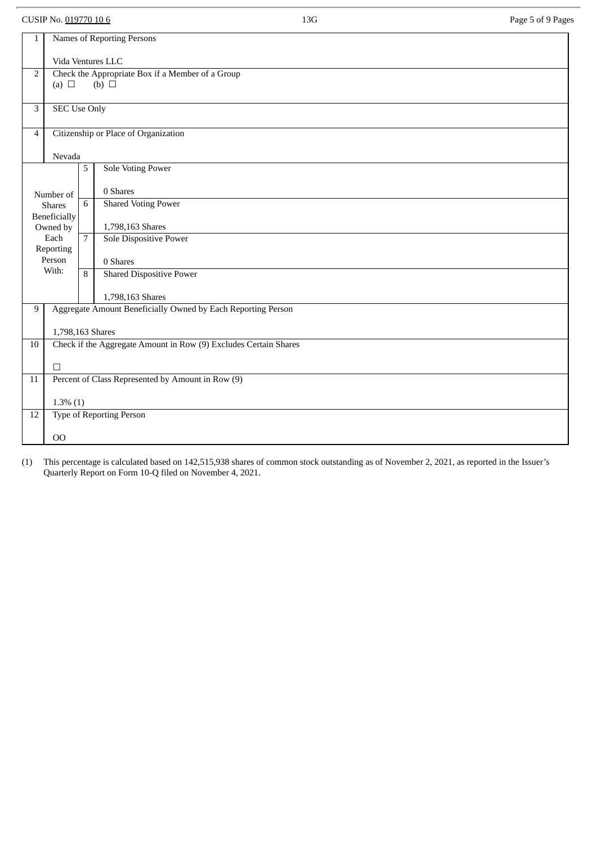CUSIP No. 019770 10 6 13G Page 5 of 9 Pages

| $\mathbf{1}$                                                         | Names of Reporting Persons |                |                                                                  |  |  |  |  |
|----------------------------------------------------------------------|----------------------------|----------------|------------------------------------------------------------------|--|--|--|--|
|                                                                      | Vida Ventures LLC          |                |                                                                  |  |  |  |  |
| $\overline{2}$                                                       |                            |                | Check the Appropriate Box if a Member of a Group                 |  |  |  |  |
|                                                                      | (b) $\Box$<br>(a) $\Box$   |                |                                                                  |  |  |  |  |
|                                                                      |                            |                |                                                                  |  |  |  |  |
| $\mathbf{3}$                                                         | <b>SEC Use Only</b>        |                |                                                                  |  |  |  |  |
|                                                                      |                            |                |                                                                  |  |  |  |  |
| $\overline{4}$                                                       |                            |                | Citizenship or Place of Organization                             |  |  |  |  |
|                                                                      |                            |                |                                                                  |  |  |  |  |
|                                                                      | Nevada                     |                |                                                                  |  |  |  |  |
|                                                                      |                            | 5              | <b>Sole Voting Power</b>                                         |  |  |  |  |
|                                                                      |                            |                |                                                                  |  |  |  |  |
|                                                                      |                            |                | 0 Shares                                                         |  |  |  |  |
|                                                                      | Number of                  |                |                                                                  |  |  |  |  |
|                                                                      | <b>Shares</b>              | 6              | <b>Shared Voting Power</b>                                       |  |  |  |  |
|                                                                      | Beneficially               |                |                                                                  |  |  |  |  |
|                                                                      | Owned by                   |                | 1,798,163 Shares                                                 |  |  |  |  |
|                                                                      | Each                       | $\overline{7}$ | Sole Dispositive Power                                           |  |  |  |  |
|                                                                      | Reporting                  |                |                                                                  |  |  |  |  |
|                                                                      | Person                     |                | 0 Shares                                                         |  |  |  |  |
|                                                                      | With:                      | 8              | <b>Shared Dispositive Power</b>                                  |  |  |  |  |
|                                                                      |                            |                |                                                                  |  |  |  |  |
|                                                                      |                            |                | 1,798,163 Shares                                                 |  |  |  |  |
| 9                                                                    |                            |                | Aggregate Amount Beneficially Owned by Each Reporting Person     |  |  |  |  |
|                                                                      |                            |                |                                                                  |  |  |  |  |
|                                                                      | 1,798,163 Shares           |                |                                                                  |  |  |  |  |
| $10\,$                                                               |                            |                | Check if the Aggregate Amount in Row (9) Excludes Certain Shares |  |  |  |  |
|                                                                      |                            |                |                                                                  |  |  |  |  |
|                                                                      | $\Box$                     |                |                                                                  |  |  |  |  |
| Percent of Class Represented by Amount in Row (9)<br>$\overline{11}$ |                            |                |                                                                  |  |  |  |  |
|                                                                      |                            |                |                                                                  |  |  |  |  |
|                                                                      |                            |                |                                                                  |  |  |  |  |
| $1.3\%$ (1)<br><b>Type of Reporting Person</b>                       |                            |                |                                                                  |  |  |  |  |
| 12                                                                   |                            |                |                                                                  |  |  |  |  |
|                                                                      |                            |                |                                                                  |  |  |  |  |
|                                                                      | 00                         |                |                                                                  |  |  |  |  |

(1) This percentage is calculated based on 142,515,938 shares of common stock outstanding as of November 2, 2021, as reported in the Issuer's Quarterly Report on Form 10-Q filed on November 4, 2021.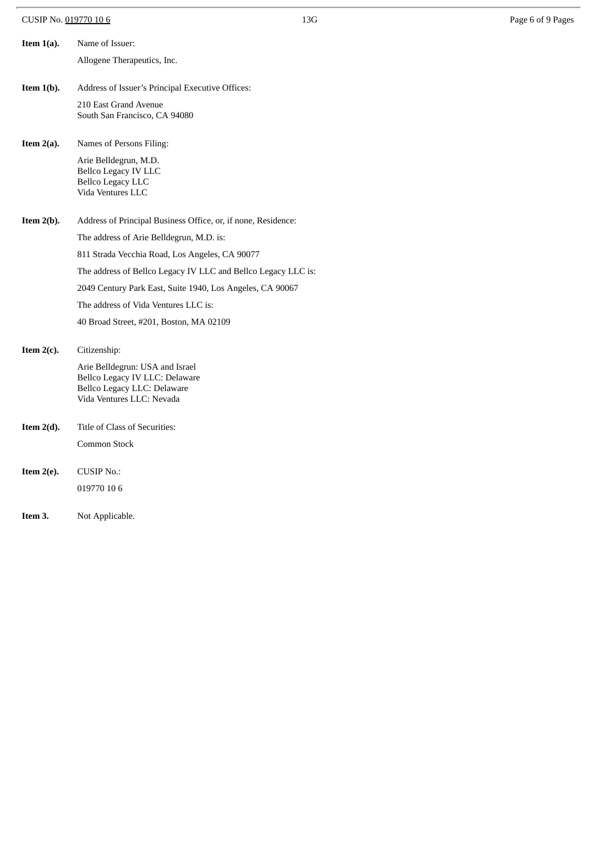| CUSIP No. 019770 10 6 |  |
|-----------------------|--|
|                       |  |

| Item $1(a)$ . | Name of Issuer:                                                                                                               |
|---------------|-------------------------------------------------------------------------------------------------------------------------------|
|               | Allogene Therapeutics, Inc.                                                                                                   |
|               |                                                                                                                               |
| Item $1(b)$ . | Address of Issuer's Principal Executive Offices:                                                                              |
|               | 210 East Grand Avenue<br>South San Francisco, CA 94080                                                                        |
|               |                                                                                                                               |
| Item $2(a)$ . | Names of Persons Filing:                                                                                                      |
|               | Arie Belldegrun, M.D.<br><b>Bellco Legacy IV LLC</b><br><b>Bellco Legacy LLC</b><br>Vida Ventures LLC                         |
| Item $2(b)$ . | Address of Principal Business Office, or, if none, Residence:                                                                 |
|               | The address of Arie Belldegrun, M.D. is:                                                                                      |
|               | 811 Strada Vecchia Road, Los Angeles, CA 90077                                                                                |
|               | The address of Bellco Legacy IV LLC and Bellco Legacy LLC is:                                                                 |
|               | 2049 Century Park East, Suite 1940, Los Angeles, CA 90067                                                                     |
|               | The address of Vida Ventures LLC is:                                                                                          |
|               | 40 Broad Street, #201, Boston, MA 02109                                                                                       |
| Item $2(c)$ . | Citizenship:                                                                                                                  |
|               | Arie Belldegrun: USA and Israel<br>Bellco Legacy IV LLC: Delaware<br>Bellco Legacy LLC: Delaware<br>Vida Ventures LLC: Nevada |
| Item $2(d)$ . | Title of Class of Securities:                                                                                                 |
|               | Common Stock                                                                                                                  |
| Item $2(e)$ . | <b>CUSIP No.:</b>                                                                                                             |
|               | 019770 10 6                                                                                                                   |
|               |                                                                                                                               |
| Item 3.       | Not Applicable.                                                                                                               |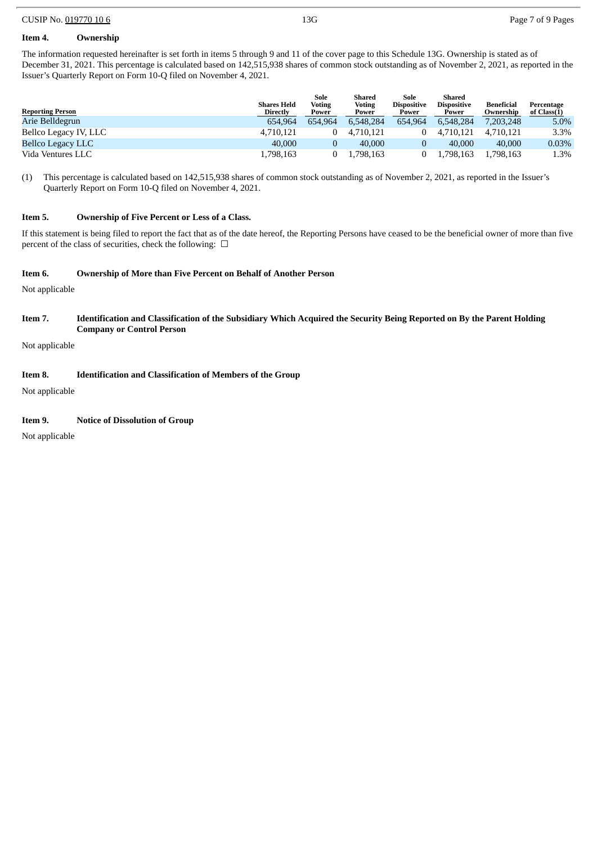#### CUSIP No. 019770 10 6 **13G** Page 7 of 9 Pages

### **Item 4. Ownership**

The information requested hereinafter is set forth in items 5 through 9 and 11 of the cover page to this Schedule 13G. Ownership is stated as of December 31, 2021. This percentage is calculated based on 142,515,938 shares of common stock outstanding as of November 2, 2021, as reported in the Issuer's Quarterly Report on Form 10-Q filed on November 4, 2021.

|                          | <b>Shares Held</b> | Sole<br><b>Voting</b> | Shared<br><b>Voting</b> | Sole<br><b>Dispositive</b> | Shared<br><b>Dispositive</b> | Beneficial | Percentage  |
|--------------------------|--------------------|-----------------------|-------------------------|----------------------------|------------------------------|------------|-------------|
| <b>Reporting Person</b>  | <b>Directly</b>    | Power                 | Power                   | Power                      | Power                        | Ownership  | of Class(1) |
| Arie Belldegrun          | 654.964            | 654.964               | 6.548.284               | 654.964                    | 6.548.284                    | 7.203.248  | 5.0%        |
| Bellco Legacy IV, LLC    | 4.710.121          |                       | 4.710.121               |                            | 4.710.121                    | 4.710.121  | 3.3%        |
| <b>Bellco Legacy LLC</b> | 40,000             |                       | 40,000                  |                            | 40,000                       | 40,000     | 0.03%       |
| Vida Ventures LLC        | 1,798,163          |                       | .798,163                |                            | .798.163                     | 1,798,163  | 1.3%        |

(1) This percentage is calculated based on 142,515,938 shares of common stock outstanding as of November 2, 2021, as reported in the Issuer's Quarterly Report on Form 10-Q filed on November 4, 2021.

#### **Item 5. Ownership of Five Percent or Less of a Class.**

If this statement is being filed to report the fact that as of the date hereof, the Reporting Persons have ceased to be the beneficial owner of more than five percent of the class of securities, check the following:  $\Box$ 

#### **Item 6. Ownership of More than Five Percent on Behalf of Another Person**

Not applicable

#### Item 7. Identification and Classification of the Subsidiary Which Acquired the Security Being Reported on By the Parent Holding **Company or Control Person**

Not applicable

#### **Item 8. Identification and Classification of Members of the Group**

Not applicable

#### **Item 9. Notice of Dissolution of Group**

Not applicable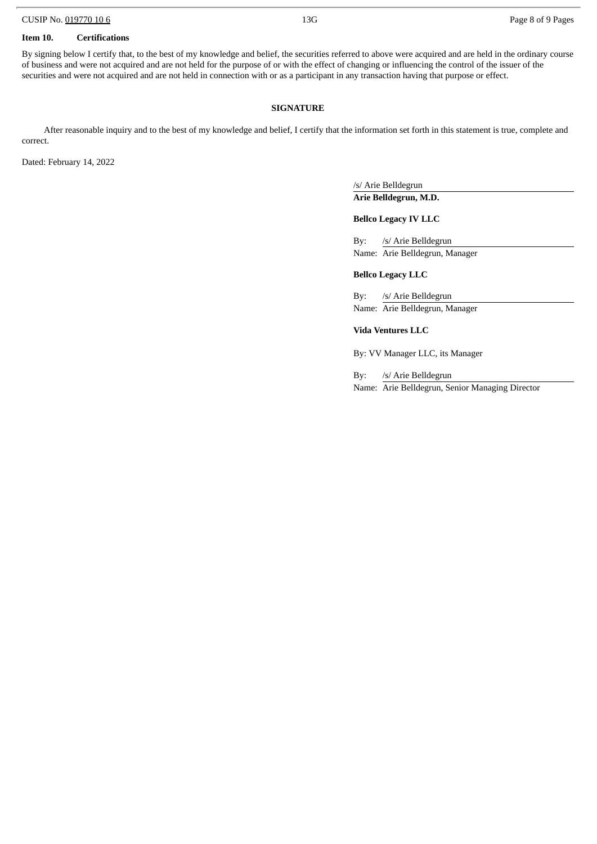#### **Item 10. Certifications**

By signing below I certify that, to the best of my knowledge and belief, the securities referred to above were acquired and are held in the ordinary course of business and were not acquired and are not held for the purpose of or with the effect of changing or influencing the control of the issuer of the securities and were not acquired and are not held in connection with or as a participant in any transaction having that purpose or effect.

#### **SIGNATURE**

After reasonable inquiry and to the best of my knowledge and belief, I certify that the information set forth in this statement is true, complete and correct.

Dated: February 14, 2022

/s/ Arie Belldegrun **Arie Belldegrun, M.D.**

#### **Bellco Legacy IV LLC**

By: /s/ Arie Belldegrun Name: Arie Belldegrun, Manager

#### **Bellco Legacy LLC**

By: /s/ Arie Belldegrun Name: Arie Belldegrun, Manager

**Vida Ventures LLC**

By: VV Manager LLC, its Manager

By: /s/ Arie Belldegrun Name: Arie Belldegrun, Senior Managing Director